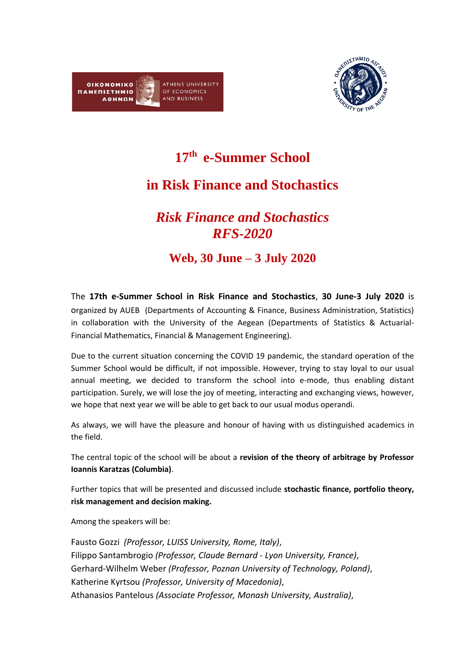



**17 th e-Summer School**

## **in Risk Finance and Stochastics**

## *Risk Finance and Stochastics RFS-2020*

## **Web, 30 June – 3 July 2020**

The **17th e-Summer School in Risk Finance and Stochastics**, **30 June-3 July 2020** is organized by AUEB (Departments of Accounting & Finance, Business Administration, Statistics) in collaboration with the University of the Aegean (Departments of Statistics & Actuarial-Financial Mathematics, Financial & Management Engineering).

Due to the current situation concerning the COVID 19 pandemic, the standard operation of the Summer School would be difficult, if not impossible. However, trying to stay loyal to our usual annual meeting, we decided to transform the school into e-mode, thus enabling distant participation. Surely, we will lose the joy of meeting, interacting and exchanging views, however, we hope that next year we will be able to get back to our usual modus operandi.

As always, we will have the pleasure and honour of having with us distinguished academics in the field.

The central topic of the school will be about a **revision of the theory of arbitrage by Professor Ioannis Karatzas (Columbia)**.

Further topics that will be presented and discussed include **stochastic finance, portfolio theory, risk management and decision making.**

Among the speakers will be:

Fausto Gozzi *(Professor, LUISS University, Rome, Italy)*, Filippo Santambrogio *(Professor, Claude Bernard - Lyon University, France)*, Gerhard-Wilhelm Weber *(Professor, [Poznan University of Technology,](https://www.researchgate.net/institution/Poznan_University_of_Technology) Poland)*, Katherine Kyrtsou *(Professor, University of Macedonia)*, Athanasios Pantelous *(Associate Professor, Monash University, Australia)*,